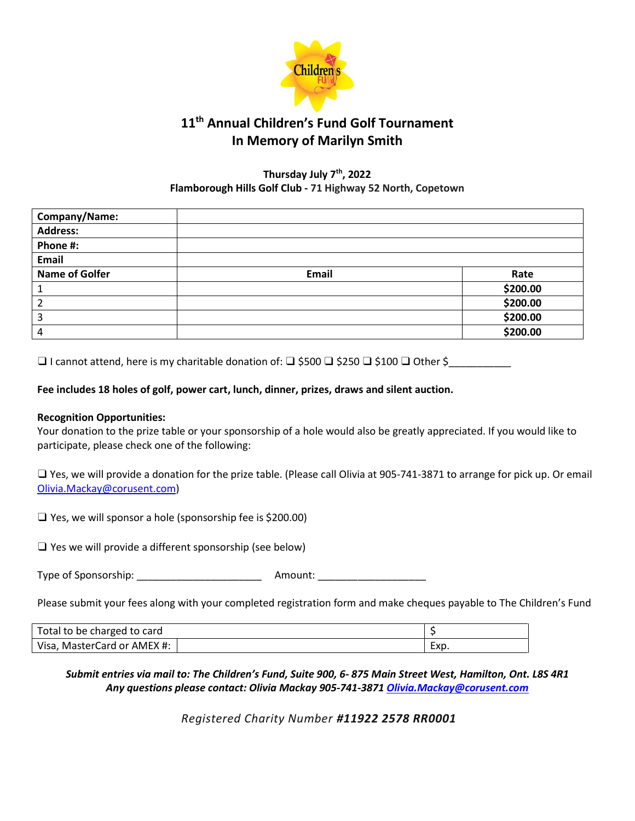

## **11 th Annual Children's Fund Golf Tournament In Memory of Marilyn Smith**

#### **Thursday July 7th, 2022 Flamborough Hills Golf Club - 71 Highway 52 North, Copetown**

| Company/Name:         |       |          |
|-----------------------|-------|----------|
| <b>Address:</b>       |       |          |
| Phone #:              |       |          |
| Email                 |       |          |
| <b>Name of Golfer</b> | Email | Rate     |
|                       |       | \$200.00 |
|                       |       | \$200.00 |
| 3                     |       | \$200.00 |
| 4                     |       | \$200.00 |

❑ I cannot attend, here is my charitable donation of: ❑ \$500 ❑ \$250 ❑ \$100 ❑ Other \$\_\_\_\_\_\_\_\_\_\_\_

### **Fee includes 18 holes of golf, power cart, lunch, dinner, prizes, draws and silent auction.**

#### **Recognition Opportunities:**

Your donation to the prize table or your sponsorship of a hole would also be greatly appreciated. If you would like to participate, please check one of the following:

❑ Yes, we will provide a donation for the prize table. (Please call Olivia at 905-741-3871 to arrange for pick up. Or email [Olivia.Mackay@corusent.com\)](mailto:Olivia.Mackay@corusent.com)

❑ Yes, we will sponsor a hole (sponsorship fee is \$200.00)

❑ Yes we will provide a different sponsorship (see below)

Type of Sponsorship: Type of Sponsorship:

Please submit your fees along with your completed registration form and make cheques payable to The Children's Fund

| Total to be charged to card    |      |
|--------------------------------|------|
| MasterCard or AMEX #:<br>Visa. | Exp. |

*Submit entries via mail to: The Children's Fund, Suite 900, 6- 875 Main Street West, Hamilton, Ont. L8S 4R1 Any questions please contact: Olivia Mackay 905-741-3871 [Olivia.Mackay@corusent.com](mailto:Olivia.Mackay@corusent.com)*

*Registered Charity Number #11922 2578 RR0001*